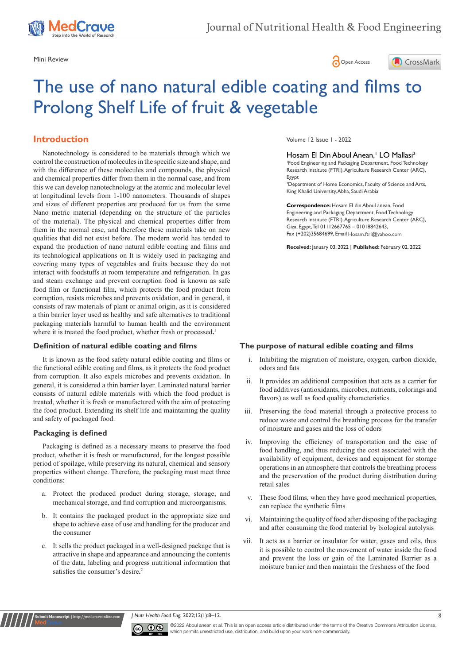





# The use of nano natural edible coating and films to Prolong Shelf Life of fruit & vegetable

# **Introduction**

Nanotechnology is considered to be materials through which we control the construction of molecules in the specific size and shape, and with the difference of these molecules and compounds, the physical and chemical properties differ from them in the normal case, and from this we can develop nanotechnology at the atomic and molecular level at longitudinal levels from 1-100 nanometers. Thousands of shapes and sizes of different properties are produced for us from the same Nano metric material (depending on the structure of the particles of the material). The physical and chemical properties differ from them in the normal case, and therefore these materials take on new qualities that did not exist before. The modern world has tended to expand the production of nano natural edible coating and films and its technological applications on It is widely used in packaging and covering many types of vegetables and fruits because they do not interact with foodstuffs at room temperature and refrigeration. In gas and steam exchange and prevent corruption food is known as safe food film or functional film, which protects the food product from corruption, resists microbes and prevents oxidation, and in general, it consists of raw materials of plant or animal origin, as it is considered a thin barrier layer used as healthy and safe alternatives to traditional packaging materials harmful to human health and the environment where it is treated the food product, whether fresh or processed**.** 1

## **Definition of natural edible coating and films**

It is known as the food safety natural edible coating and films or the functional edible coating and films, as it protects the food product from corruption. It also expels microbes and prevents oxidation. In general, it is considered a thin barrier layer. Laminated natural barrier consists of natural edible materials with which the food product is treated, whether it is fresh or manufactured with the aim of protecting the food product. Extending its shelf life and maintaining the quality and safety of packaged food.

#### **Packaging is defined**

**it Manuscript** | http://medcra

Packaging is defined as a necessary means to preserve the food product, whether it is fresh or manufactured, for the longest possible period of spoilage, while preserving its natural, chemical and sensory properties without change. Therefore, the packaging must meet three conditions:

- a. Protect the produced product during storage, storage, and mechanical storage, and find corruption and microorganisms.
- b. It contains the packaged product in the appropriate size and shape to achieve ease of use and handling for the producer and the consumer
- c. It sells the product packaged in a well-designed package that is attractive in shape and appearance and announcing the contents of the data, labeling and progress nutritional information that satisfies the consumer's desire**.** 2

Volume 12 Issue 1 - 2022

## Hosam El Din Aboul Anean,<sup>1</sup> LO Mallasi<sup>2</sup>

1 Food Engineering and Packaging Department, Food Technology Research Institute (FTRI), Agriculture Research Center (ARC), Egypt

<sup>2</sup>Department of Home Economics, Faculty of Science and Arts, King Khalid University, Abha, Saudi Arabia

**Correspondence:** Hosam El din Aboul anean, Food Engineering and Packaging Department, Food Technology Research Institute (FTRI), Agriculture Research Center (ARC), Giza, Egypt, Tel 01112667765 – 01018842643, Fax (+202)35684699, Email Hosam.ftri@yahoo.com

**Received:** January 03, 2022 | **Published:** February 02, 2022

## **The purpose of natural edible coating and films**

- i. Inhibiting the migration of moisture, oxygen, carbon dioxide, odors and fats
- ii. It provides an additional composition that acts as a carrier for food additives (antioxidants, microbes, nutrients, colorings and flavors) as well as food quality characteristics.
- iii. Preserving the food material through a protective process to reduce waste and control the breathing process for the transfer of moisture and gases and the loss of odors
- iv. Improving the efficiency of transportation and the ease of food handling, and thus reducing the cost associated with the availability of equipment, devices and equipment for storage operations in an atmosphere that controls the breathing process and the preservation of the product during distribution during retail sales
- v. These food films, when they have good mechanical properties, can replace the synthetic films
- vi. Maintaining the quality of food after disposing of the packaging and after consuming the food material by biological autolysis
- vii. It acts as a barrier or insulator for water, gases and oils, thus it is possible to control the movement of water inside the food and prevent the loss or gain of the Laminated Barrier as a moisture barrier and then maintain the freshness of the food

*J Nutr Health Food Eng.* 2022;12(1):8‒12. 8



©2022 Aboul anean et al. This is an open access article distributed under the terms of the [Creative Commons Attribution License](https://creativecommons.org/licenses/by-nc/4.0/), which permits unrestricted use, distribution, and build upon your work non-commercially.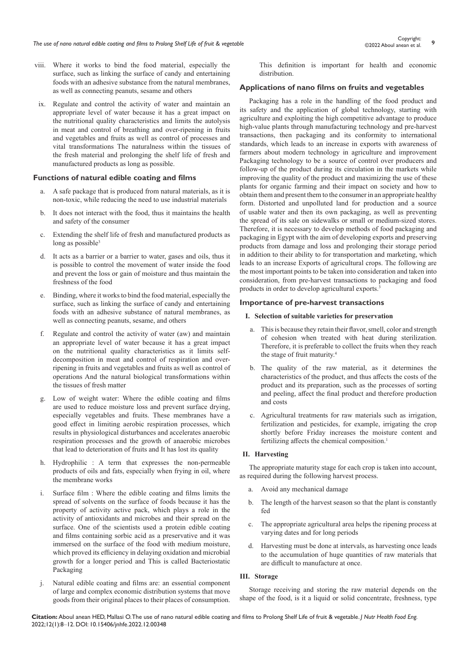- viii. Where it works to bind the food material, especially the surface, such as linking the surface of candy and entertaining foods with an adhesive substance from the natural membranes, as well as connecting peanuts, sesame and others
- ix. Regulate and control the activity of water and maintain an appropriate level of water because it has a great impact on the nutritional quality characteristics and limits the autolysis in meat and control of breathing and over-ripening in fruits and vegetables and fruits as well as control of processes and vital transformations The naturalness within the tissues of the fresh material and prolonging the shelf life of fresh and manufactured products as long as possible.

## **Functions of natural edible coating and films**

- a. A safe package that is produced from natural materials, as it is non-toxic, while reducing the need to use industrial materials
- b. It does not interact with the food, thus it maintains the health and safety of the consumer
- c. Extending the shelf life of fresh and manufactured products as long as possible<sup>3</sup>
- d. It acts as a barrier or a barrier to water, gases and oils, thus it is possible to control the movement of water inside the food and prevent the loss or gain of moisture and thus maintain the freshness of the food
- e. Binding, where it works to bind the food material, especially the surface, such as linking the surface of candy and entertaining foods with an adhesive substance of natural membranes, as well as connecting peanuts, sesame, and others
- f. Regulate and control the activity of water (aw) and maintain an appropriate level of water because it has a great impact on the nutritional quality characteristics as it limits selfdecomposition in meat and control of respiration and overripening in fruits and vegetables and fruits as well as control of operations And the natural biological transformations within the tissues of fresh matter
- g. Low of weight water: Where the edible coating and films are used to reduce moisture loss and prevent surface drying, especially vegetables and fruits. These membranes have a good effect in limiting aerobic respiration processes, which results in physiological disturbances and accelerates anaerobic respiration processes and the growth of anaerobic microbes that lead to deterioration of fruits and It has lost its quality
- h. Hydrophilic : A term that expresses the non-permeable products of oils and fats, especially when frying in oil, where the membrane works
- i. Surface film : Where the edible coating and films limits the spread of solvents on the surface of foods because it has the property of activity active pack, which plays a role in the activity of antioxidants and microbes and their spread on the surface. One of the scientists used a protein edible coating and films containing sorbic acid as a preservative and it was immersed on the surface of the food with medium moisture, which proved its efficiency in delaying oxidation and microbial growth for a longer period and This is called Bacteriostatic Packaging
- j. Natural edible coating and films are: an essential component of large and complex economic distribution systems that move goods from their original places to their places of consumption.

This definition is important for health and economic distribution.

## **Applications of nano films on fruits and vegetables**

Packaging has a role in the handling of the food product and its safety and the application of global technology, starting with agriculture and exploiting the high competitive advantage to produce high-value plants through manufacturing technology and pre-harvest transactions, then packaging and its conformity to international standards, which leads to an increase in exports with awareness of farmers about modern technology in agriculture and improvement Packaging technology to be a source of control over producers and follow-up of the product during its circulation in the markets while improving the quality of the product and maximizing the use of these plants for organic farming and their impact on society and how to obtain them and present them to the consumer in an appropriate healthy form. Distorted and unpolluted land for production and a source of usable water and then its own packaging, as well as preventing the spread of its sale on sidewalks or small or medium-sized stores. Therefore, it is necessary to develop methods of food packaging and packaging in Egypt with the aim of developing exports and preserving products from damage and loss and prolonging their storage period in addition to their ability to for transportation and marketing, which leads to an increase Exports of agricultural crops. The following are the most important points to be taken into consideration and taken into consideration, from pre-harvest transactions to packaging and food products in order to develop agricultural exports.<sup>3</sup>

## **Importance of pre-harvest transactions**

## **I. Selection of suitable varieties for preservation**

- a. This is because they retain their flavor, smell, color and strength of cohesion when treated with heat during sterilization. Therefore, it is preferable to collect the fruits when they reach the stage of fruit maturity.<sup>4</sup>
- b. The quality of the raw material, as it determines the characteristics of the product, and thus affects the costs of the product and its preparation, such as the processes of sorting and peeling, affect the final product and therefore production and costs
- c. Agricultural treatments for raw materials such as irrigation, fertilization and pesticides, for example, irrigating the crop shortly before Friday increases the moisture content and fertilizing affects the chemical composition.<sup>1</sup>

## **II. Harvesting**

The appropriate maturity stage for each crop is taken into account, as required during the following harvest process.

- a. Avoid any mechanical damage
- b. The length of the harvest season so that the plant is constantly fed
- c. The appropriate agricultural area helps the ripening process at varying dates and for long periods
- d. Harvesting must be done at intervals, as harvesting once leads to the accumulation of huge quantities of raw materials that are difficult to manufacture at once.

## **III. Storage**

Storage receiving and storing the raw material depends on the shape of the food, is it a liquid or solid concentrate, freshness, type

**Citation:** Aboul anean HED, Mallasi O. The use of nano natural edible coating and films to Prolong Shelf Life of fruit & vegetable. *J Nutr Health Food Eng.* 2022;12(1):8‒12. DOI: [10.15406/jnhfe.2022.12.00348](https://doi.org/10.15406/jnhfe.2022.12.00348)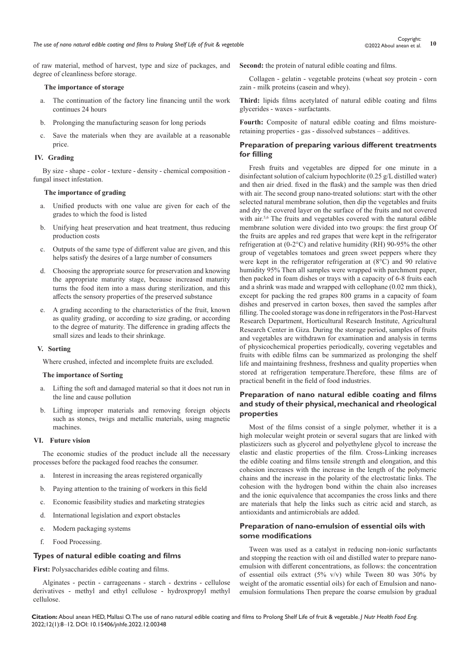of raw material, method of harvest, type and size of packages, and degree of cleanliness before storage.

#### **The importance of storage**

- a. The continuation of the factory line financing until the work continues 24 hours
- b. Prolonging the manufacturing season for long periods
- c. Save the materials when they are available at a reasonable price.

#### **IV. Grading**

By size - shape - color - texture - density - chemical composition fungal insect infestation.

## **The importance of grading**

- a. Unified products with one value are given for each of the grades to which the food is listed
- b. Unifying heat preservation and heat treatment, thus reducing production costs
- c. Outputs of the same type of different value are given, and this helps satisfy the desires of a large number of consumers
- d. Choosing the appropriate source for preservation and knowing the appropriate maturity stage, because increased maturity turns the food item into a mass during sterilization, and this affects the sensory properties of the preserved substance
- e. A grading according to the characteristics of the fruit, known as quality grading, or according to size grading, or according to the degree of maturity. The difference in grading affects the small sizes and leads to their shrinkage.

#### **V. Sorting**

Where crushed, infected and incomplete fruits are excluded.

#### **The importance of Sorting**

- a. Lifting the soft and damaged material so that it does not run in the line and cause pollution
- b. Lifting improper materials and removing foreign objects such as stones, twigs and metallic materials, using magnetic machines.

#### **VI. Future vision**

The economic studies of the product include all the necessary processes before the packaged food reaches the consumer.

- Interest in increasing the areas registered organically
- b. Paying attention to the training of workers in this field
- c. Economic feasibility studies and marketing strategies
- d. International legislation and export obstacles
- e. Modern packaging systems
- f. Food Processing.

## **Types of natural edible coating and films**

**First:** Polysaccharides edible coating and films.

Alginates - pectin - carrageenans - starch - dextrins - cellulose derivatives - methyl and ethyl cellulose - hydroxpropyl methyl cellulose.

Second: the protein of natural edible coating and films.

Collagen - gelatin - vegetable proteins (wheat soy protein - corn zain - milk proteins (casein and whey).

**Third:** lipids films acetylated of natural edible coating and films glycerides - waxes - surfactants.

**Fourth:** Composite of natural edible coating and films moistureretaining properties - gas - dissolved substances – additives.

## **Preparation of preparing various different treatments for filling**

Fresh fruits and vegetables are dipped for one minute in a disinfectant solution of calcium hypochlorite (0.25 g/L distilled water) and then air dried. fixed in the flask) and the sample was then dried with air. The second group nano-treated solutions: start with the other selected natural membrane solution, then dip the vegetables and fruits and dry the covered layer on the surface of the fruits and not covered with air.<sup>5,6</sup> The fruits and vegetables covered with the natural edible membrane solution were divided into two groups: the first group Of the fruits are apples and red grapes that were kept in the refrigerator refrigeration at (0-2°C) and relative humidity (RH) 90-95% the other group of vegetables tomatoes and green sweet peppers where they were kept in the refrigerator refrigeration at (8°C) and 90 relative humidity 95% Then all samples were wrapped with parchment paper, then packed in foam dishes or trays with a capacity of 6-8 fruits each and a shrink was made and wrapped with cellophane (0.02 mm thick), except for packing the red grapes 800 grams in a capacity of foam dishes and preserved in carton boxes, then saved the samples after filling. The cooled storage was done in refrigerators in the Post-Harvest Research Department, Horticultural Research Institute, Agricultural Research Center in Giza. During the storage period, samples of fruits and vegetables are withdrawn for examination and analysis in terms of physicochemical properties periodically, covering vegetables and fruits with edible films can be summarized as prolonging the shelf life and maintaining freshness, freshness and quality properties when stored at refrigeration temperature.Therefore, these films are of practical benefit in the field of food industries.

# **Preparation of nano natural edible coating and films and study of their physical, mechanical and rheological properties**

Most of the films consist of a single polymer, whether it is a high molecular weight protein or several sugars that are linked with plasticizers such as glycerol and polyethylene glycol to increase the elastic and elastic properties of the film. Cross-Linking increases the edible coating and films tensile strength and elongation, and this cohesion increases with the increase in the length of the polymeric chains and the increase in the polarity of the electrostatic links. The cohesion with the hydrogen bond within the chain also increases and the ionic equivalence that accompanies the cross links and there are materials that help the links such as citric acid and starch, as antioxidants and antimicrobials are added.

## **Preparation of nano-emulsion of essential oils with some modifications**

Tween was used as a catalyst in reducing non-ionic surfactants and stopping the reaction with oil and distilled water to prepare nanoemulsion with different concentrations, as follows: the concentration of essential oils extract  $(5\% \text{ v/v})$  while Tween 80 was 30% by weight of the aromatic essential oils) for each of Emulsion and nanoemulsion formulations Then prepare the coarse emulsion by gradual

**Citation:** Aboul anean HED, Mallasi O. The use of nano natural edible coating and films to Prolong Shelf Life of fruit & vegetable. *J Nutr Health Food Eng.* 2022;12(1):8‒12. DOI: [10.15406/jnhfe.2022.12.00348](https://doi.org/10.15406/jnhfe.2022.12.00348)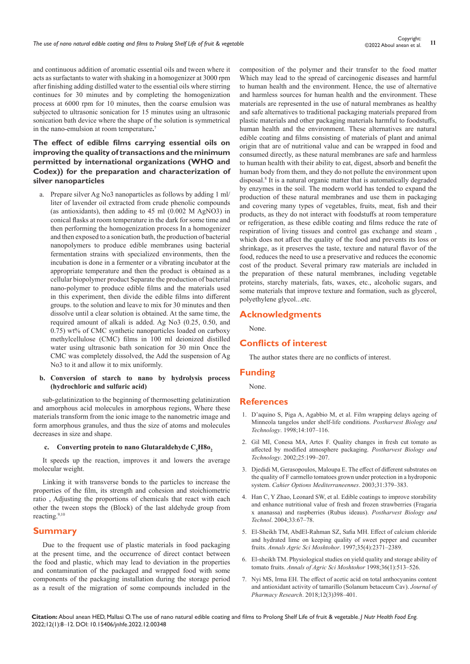and continuous addition of aromatic essential oils and tween where it acts as surfactants to water with shaking in a homogenizer at 3000 rpm after finishing adding distilled water to the essential oils where stirring continues for 30 minutes and by completing the homogenization process at 6000 rpm for 10 minutes, then the coarse emulsion was subjected to ultrasonic sonication for 15 minutes using an ultrasonic sonication bath device where the shape of the solution is symmetrical in the nano-emulsion at room temperature**.** 7

# **The effect of edible films carrying essential oils on improving the quality of transactions and the minimum permitted by international organizations (WHO and Codex)) for the preparation and characterization of silver nanoparticles**

a. Prepare silver Ag No3 nanoparticles as follows by adding 1 ml/ liter of lavender oil extracted from crude phenolic compounds (as antioxidants), then adding to 45 ml (0.002 M AgNO3) in conical flasks at room temperature in the dark for some time and then performing the homogenization process In a homogenizer and then exposed to a sonication bath, the production of bacterial nanopolymers to produce edible membranes using bacterial fermentation strains with specialized environments, then the incubation is done in a fermenter or a vibrating incubator at the appropriate temperature and then the product is obtained as a cellular biopolymer product Separate the production of bacterial nano-polymer to produce edible films and the materials used in this experiment, then divide the edible films into different groups. to the solution and leave to mix for 30 minutes and then dissolve until a clear solution is obtained. At the same time, the required amount of alkali is added. Ag No3 (0.25, 0.50, and 0.75) wt% of CMC synthetic nanoparticles loaded on carboxy methylcellulose (CMC) films in 100 ml deionized distilled water using ultrasonic bath sonication for 30 min Once the CMC was completely dissolved, the Add the suspension of Ag No3 to it and allow it to mix uniformly.

#### **b. Conversion of starch to nano by hydrolysis process (hydrochloric and sulfuric acid)**

sub-gelatinization to the beginning of thermosetting gelatinization and amorphous acid molecules in amorphous regions, Where these materials transform from the ionic image to the nanometric image and form amorphous granules, and thus the size of atoms and molecules decreases in size and shape.

## **c.** Converting protein to nano Glutaraldehyde  $C_5H80_2$

It speeds up the reaction, improves it and lowers the average molecular weight.

Linking it with transverse bonds to the particles to increase the properties of the film, its strength and cohesion and stoichiometric ratio , Adjusting the proportions of chemicals that react with each other the tween stops the (Block) of the last aldehyde group from reacting.9,10

# **Summary**

Due to the frequent use of plastic materials in food packaging at the present time, and the occurrence of direct contact between the food and plastic, which may lead to deviation in the properties and contamination of the packaged and wrapped food with some components of the packaging installation during the storage period as a result of the migration of some compounds included in the

composition of the polymer and their transfer to the food matter Which may lead to the spread of carcinogenic diseases and harmful to human health and the environment. Hence, the use of alternative and harmless sources for human health and the environment. These materials are represented in the use of natural membranes as healthy and safe alternatives to traditional packaging materials prepared from plastic materials and other packaging materials harmful to foodstuffs, human health and the environment. These alternatives are natural edible coating and films consisting of materials of plant and animal origin that are of nutritional value and can be wrapped in food and consumed directly, as these natural membranes are safe and harmless to human health with their ability to eat, digest, absorb and benefit the human body from them, and they do not pollute the environment upon disposal.<sup>8</sup> It is a natural organic matter that is automatically degraded by enzymes in the soil. The modern world has tended to expand the production of these natural membranes and use them in packaging and covering many types of vegetables, fruits, meat, fish and their products, as they do not interact with foodstuffs at room temperature or refrigeration, as these edible coating and films reduce the rate of respiration of living tissues and control gas exchange and steam , which does not affect the quality of the food and prevents its loss or shrinkage, as it preserves the taste, texture and natural flavor of the food, reduces the need to use a preservative and reduces the economic cost of the product. Several primary raw materials are included in the preparation of these natural membranes, including vegetable proteins, starchy materials, fats, waxes, etc., alcoholic sugars, and some materials that improve texture and formation, such as glycerol, polyethylene glycol...etc.

## **Acknowledgments**

None.

# **Conflicts of interest**

The author states there are no conflicts of interest.

## **Funding**

None.

## **References**

- 1. [D'aquino S, Piga A, Agabbio M, et al. Film wrapping delays ageing of](https://agris.fao.org/agris-search/search.do?recordID=NL1999001188)  [Minneola tangelos under shelf-life conditions.](https://agris.fao.org/agris-search/search.do?recordID=NL1999001188) *Postharvest Biology and Technology*[. 1998;14:107–116.](https://agris.fao.org/agris-search/search.do?recordID=NL1999001188)
- 2. [Gil MI, Conesa MA, Artes F. Quality changes in fresh cut tomato as](https://ucanr.edu/datastoreFiles/608-377.pdf)  [affected by modified atmosphere packaging.](https://ucanr.edu/datastoreFiles/608-377.pdf) *Postharvest Biology and Technology*[. 2002;25:199–207.](https://ucanr.edu/datastoreFiles/608-377.pdf)
- 3. [Djedidi M, Gerasopoulos, Maloupa E. The effect of different substrates on](https://www.sid.ir/en/journal/ViewPaper.aspx?ID=294697)  [the quality of F carmello tomatoes grown under protection in a hydroponic](https://www.sid.ir/en/journal/ViewPaper.aspx?ID=294697)  system. *[Cahier Options Mediterraneennes](https://www.sid.ir/en/journal/ViewPaper.aspx?ID=294697)*. 2003;31:379–383.
- 4. [Han C, Y Zhao, Leonard SW, et al. Edible coatings to improve storability](https://www.infona.pl/resource/bwmeta1.element.elsevier-70311d16-3592-3b73-a75f-971adea166f1)  [and enhance nutritional value of fresh and frozen strawberries \(Fragaria](https://www.infona.pl/resource/bwmeta1.element.elsevier-70311d16-3592-3b73-a75f-971adea166f1)  [x ananassa\) and raspberries \(Rubus ideaus\).](https://www.infona.pl/resource/bwmeta1.element.elsevier-70311d16-3592-3b73-a75f-971adea166f1) *Postharvest Biology and Technol*[. 2004;33:67–78.](https://www.infona.pl/resource/bwmeta1.element.elsevier-70311d16-3592-3b73-a75f-971adea166f1)
- 5. [El-Sheikh TM, AbdEl-Rahman SZ, Safia MH. Effect of calcium chloride](https://agris.fao.org/agris-search/search.do?recordID=EG1999001201)  [and hydrated lime on keeping quality of sweet pepper and cucumber](https://agris.fao.org/agris-search/search.do?recordID=EG1999001201)  fruits. *[Annals Agric Sci Moshtohor](https://agris.fao.org/agris-search/search.do?recordID=EG1999001201)*. 1997;35(4):2371–2389.
- 6. El-sheikh TM. Physiological studies on yield quality and storage ability of tomato fruits. *Annals of Agric Sci Moshtohor* 1998;36(1):513–526.
- 7. [Nyi MS, Irma EH. The effect of acetic acid on total anthocyanins content](https://www.presentica.com/doc/11214547/the-effect-of-acetic-acid-on-total-anthocyanins-content-and-document)  [and antioxidant activity of tamarillo \(Solanum betaceum Cav\).](https://www.presentica.com/doc/11214547/the-effect-of-acetic-acid-on-total-anthocyanins-content-and-document) *Journal of Pharmacy Research*[. 2018;12\(3\)398–401.](https://www.presentica.com/doc/11214547/the-effect-of-acetic-acid-on-total-anthocyanins-content-and-document)